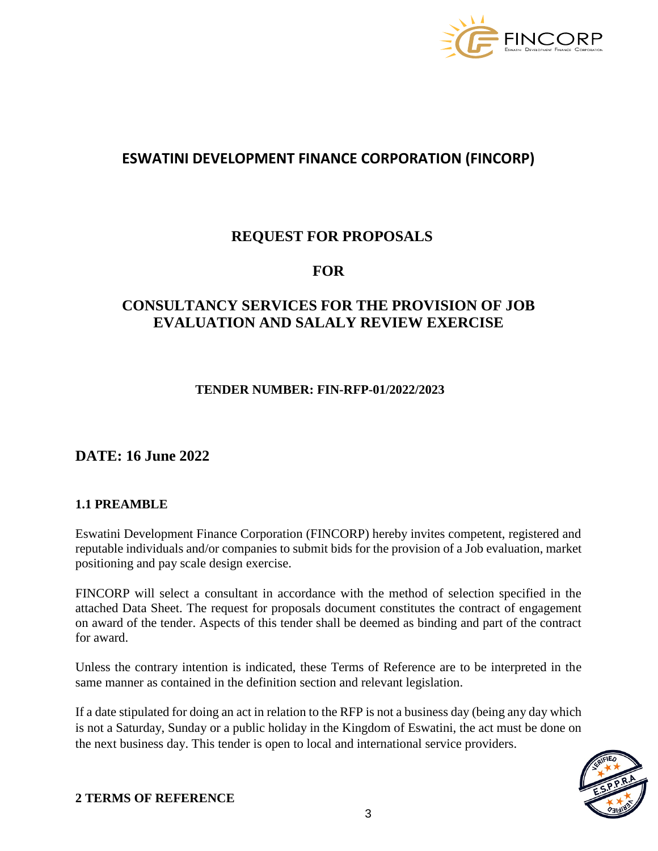

# **ESWATINI DEVELOPMENT FINANCE CORPORATION (FINCORP)**

# **REQUEST FOR PROPOSALS**

# **FOR**

# **CONSULTANCY SERVICES FOR THE PROVISION OF JOB EVALUATION AND SALALY REVIEW EXERCISE**

# **TENDER NUMBER: FIN-RFP-01/2022/2023**

# **DATE: 16 June 2022**

# **1.1 PREAMBLE**

Eswatini Development Finance Corporation (FINCORP) hereby invites competent, registered and reputable individuals and/or companies to submit bids for the provision of a Job evaluation, market positioning and pay scale design exercise.

FINCORP will select a consultant in accordance with the method of selection specified in the attached Data Sheet. The request for proposals document constitutes the contract of engagement on award of the tender. Aspects of this tender shall be deemed as binding and part of the contract for award.

Unless the contrary intention is indicated, these Terms of Reference are to be interpreted in the same manner as contained in the definition section and relevant legislation.

If a date stipulated for doing an act in relation to the RFP is not a business day (being any day which is not a Saturday, Sunday or a public holiday in the Kingdom of Eswatini, the act must be done on the next business day. This tender is open to local and international service providers.



# **2 TERMS OF REFERENCE**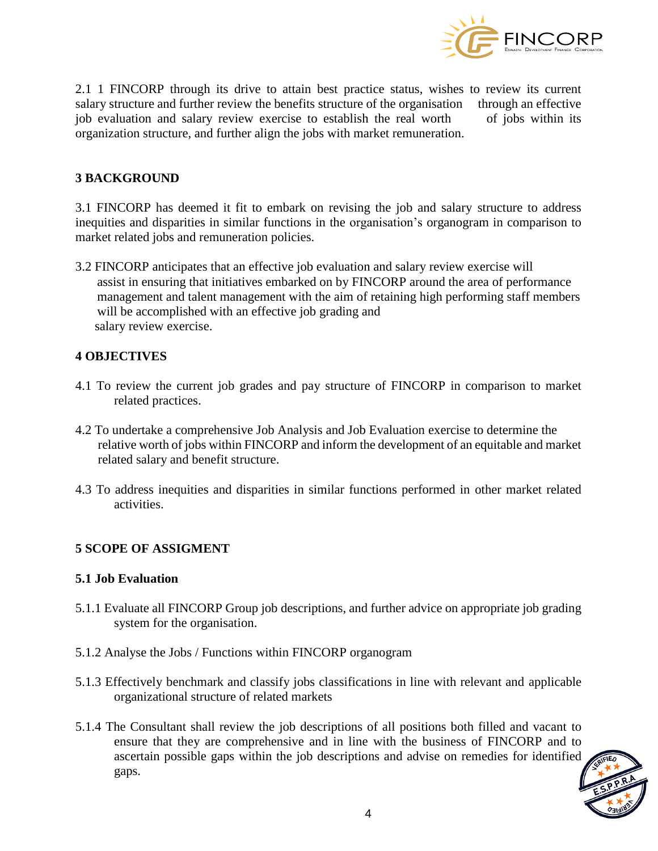

2.1 1 FINCORP through its drive to attain best practice status, wishes to review its current salary structure and further review the benefits structure of the organisation through an effective job evaluation and salary review exercise to establish the real worth of jobs within its organization structure, and further align the jobs with market remuneration.

## **3 BACKGROUND**

3.1 FINCORP has deemed it fit to embark on revising the job and salary structure to address inequities and disparities in similar functions in the organisation's organogram in comparison to market related jobs and remuneration policies.

3.2 FINCORP anticipates that an effective job evaluation and salary review exercise will assist in ensuring that initiatives embarked on by FINCORP around the area of performance management and talent management with the aim of retaining high performing staff members will be accomplished with an effective job grading and salary review exercise.

## **4 OBJECTIVES**

- 4.1 To review the current job grades and pay structure of FINCORP in comparison to market related practices.
- 4.2 To undertake a comprehensive Job Analysis and Job Evaluation exercise to determine the relative worth of jobs within FINCORP and inform the development of an equitable and market related salary and benefit structure.
- 4.3 To address inequities and disparities in similar functions performed in other market related activities.

#### **5 SCOPE OF ASSIGMENT**

#### **5.1 Job Evaluation**

- 5.1.1 Evaluate all FINCORP Group job descriptions, and further advice on appropriate job grading system for the organisation.
- 5.1.2 Analyse the Jobs / Functions within FINCORP organogram
- 5.1.3 Effectively benchmark and classify jobs classifications in line with relevant and applicable organizational structure of related markets
- 5.1.4 The Consultant shall review the job descriptions of all positions both filled and vacant to ensure that they are comprehensive and in line with the business of FINCORP and to ascertain possible gaps within the job descriptions and advise on remedies for identified gaps.

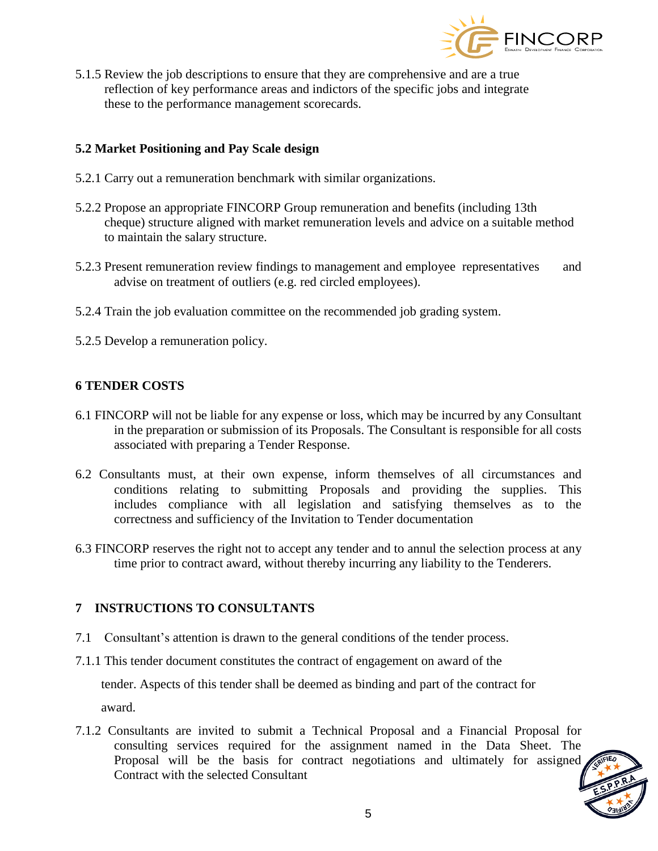

5.1.5 Review the job descriptions to ensure that they are comprehensive and are a true reflection of key performance areas and indictors of the specific jobs and integrate these to the performance management scorecards.

## **5.2 Market Positioning and Pay Scale design**

- 5.2.1 Carry out a remuneration benchmark with similar organizations.
- 5.2.2 Propose an appropriate FINCORP Group remuneration and benefits (including 13th cheque) structure aligned with market remuneration levels and advice on a suitable method to maintain the salary structure.
- 5.2.3 Present remuneration review findings to management and employee representatives and advise on treatment of outliers (e.g. red circled employees).
- 5.2.4 Train the job evaluation committee on the recommended job grading system.
- 5.2.5 Develop a remuneration policy.

## **6 TENDER COSTS**

- 6.1 FINCORP will not be liable for any expense or loss, which may be incurred by any Consultant in the preparation or submission of its Proposals. The Consultant is responsible for all costs associated with preparing a Tender Response.
- 6.2 Consultants must, at their own expense, inform themselves of all circumstances and conditions relating to submitting Proposals and providing the supplies. This includes compliance with all legislation and satisfying themselves as to the correctness and sufficiency of the Invitation to Tender documentation
- 6.3 FINCORP reserves the right not to accept any tender and to annul the selection process at any time prior to contract award, without thereby incurring any liability to the Tenderers.

#### **7 INSTRUCTIONS TO CONSULTANTS**

- 7.1 Consultant's attention is drawn to the general conditions of the tender process.
- 7.1.1 This tender document constitutes the contract of engagement on award of the

tender. Aspects of this tender shall be deemed as binding and part of the contract for

award.

7.1.2 Consultants are invited to submit a Technical Proposal and a Financial Proposal for consulting services required for the assignment named in the Data Sheet. The Proposal will be the basis for contract negotiations and ultimately for assigned Contract with the selected Consultant

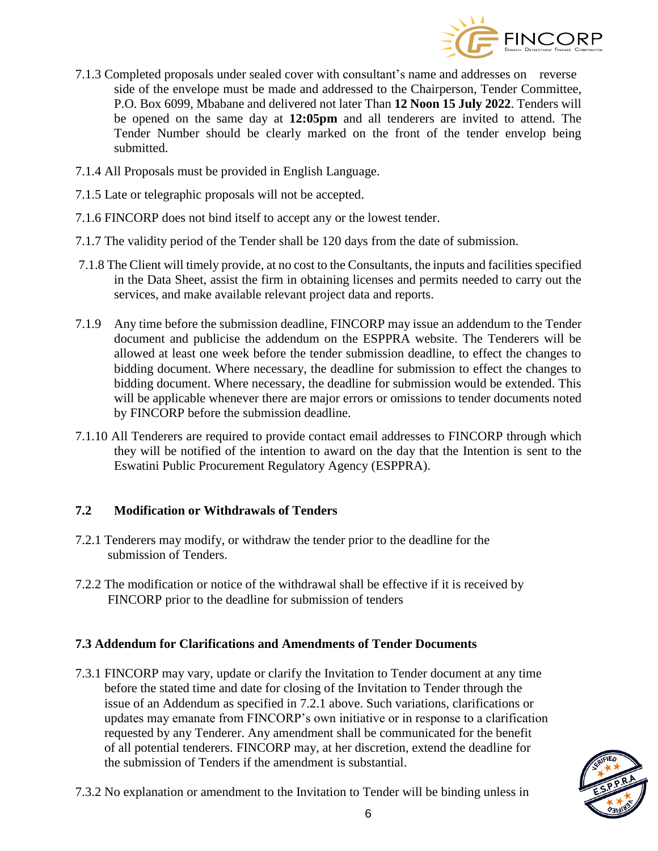

- 7.1.3 Completed proposals under sealed cover with consultant's name and addresses on reverse side of the envelope must be made and addressed to the Chairperson, Tender Committee, P.O. Box 6099, Mbabane and delivered not later Than **12 Noon 15 July 2022**. Tenders will be opened on the same day at **12:05pm** and all tenderers are invited to attend. The Tender Number should be clearly marked on the front of the tender envelop being submitted.
- 7.1.4 All Proposals must be provided in English Language.
- 7.1.5 Late or telegraphic proposals will not be accepted.
- 7.1.6 FINCORP does not bind itself to accept any or the lowest tender.
- 7.1.7 The validity period of the Tender shall be 120 days from the date of submission.
- 7.1.8 The Client will timely provide, at no cost to the Consultants, the inputs and facilities specified in the Data Sheet, assist the firm in obtaining licenses and permits needed to carry out the services, and make available relevant project data and reports.
- 7.1.9 Any time before the submission deadline, FINCORP may issue an addendum to the Tender document and publicise the addendum on the ESPPRA website. The Tenderers will be allowed at least one week before the tender submission deadline, to effect the changes to bidding document. Where necessary, the deadline for submission to effect the changes to bidding document. Where necessary, the deadline for submission would be extended. This will be applicable whenever there are major errors or omissions to tender documents noted by FINCORP before the submission deadline.
- 7.1.10 All Tenderers are required to provide contact email addresses to FINCORP through which they will be notified of the intention to award on the day that the Intention is sent to the Eswatini Public Procurement Regulatory Agency (ESPPRA).

#### **7.2 Modification or Withdrawals of Tenders**

- 7.2.1 Tenderers may modify, or withdraw the tender prior to the deadline for the submission of Tenders.
- 7.2.2 The modification or notice of the withdrawal shall be effective if it is received by FINCORP prior to the deadline for submission of tenders

#### **7.3 Addendum for Clarifications and Amendments of Tender Documents**

7.3.1 FINCORP may vary, update or clarify the Invitation to Tender document at any time before the stated time and date for closing of the Invitation to Tender through the issue of an Addendum as specified in 7.2.1 above. Such variations, clarifications or updates may emanate from FINCORP's own initiative or in response to a clarification requested by any Tenderer. Any amendment shall be communicated for the benefit of all potential tenderers. FINCORP may, at her discretion, extend the deadline for the submission of Tenders if the amendment is substantial.



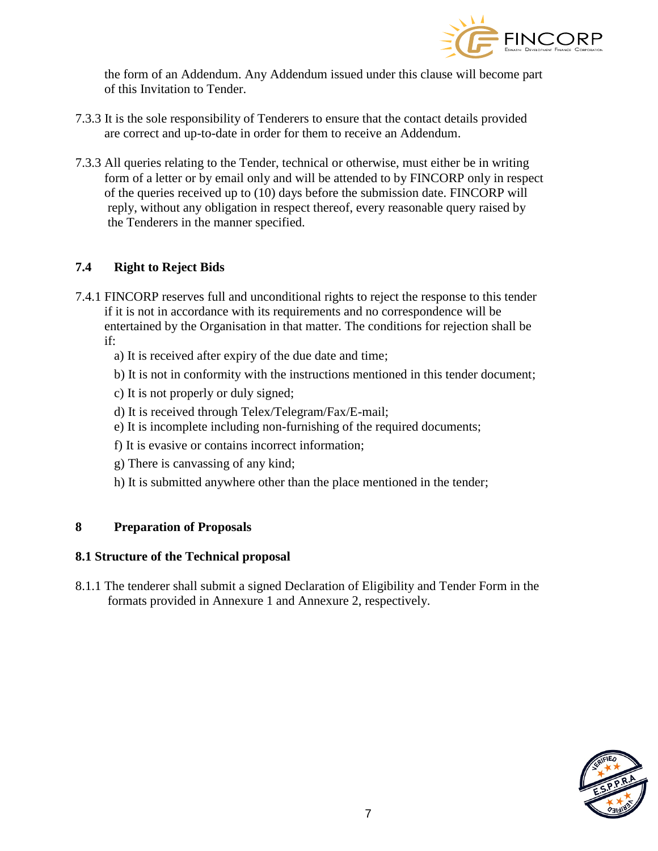

 the form of an Addendum. Any Addendum issued under this clause will become part of this Invitation to Tender.

- 7.3.3 It is the sole responsibility of Tenderers to ensure that the contact details provided are correct and up-to-date in order for them to receive an Addendum.
- 7.3.3 All queries relating to the Tender, technical or otherwise, must either be in writing form of a letter or by email only and will be attended to by FINCORP only in respect of the queries received up to (10) days before the submission date. FINCORP will reply, without any obligation in respect thereof, every reasonable query raised by the Tenderers in the manner specified.

# **7.4 Right to Reject Bids**

- 7.4.1 FINCORP reserves full and unconditional rights to reject the response to this tender if it is not in accordance with its requirements and no correspondence will be entertained by the Organisation in that matter. The conditions for rejection shall be if:
	- a) It is received after expiry of the due date and time;
	- b) It is not in conformity with the instructions mentioned in this tender document;
	- c) It is not properly or duly signed;
	- d) It is received through Telex/Telegram/Fax/E-mail;
	- e) It is incomplete including non-furnishing of the required documents;
	- f) It is evasive or contains incorrect information;
	- g) There is canvassing of any kind;
	- h) It is submitted anywhere other than the place mentioned in the tender;

# **8 Preparation of Proposals**

#### **8.1 Structure of the Technical proposal**

8.1.1 The tenderer shall submit a signed Declaration of Eligibility and Tender Form in the formats provided in Annexure 1 and Annexure 2, respectively.

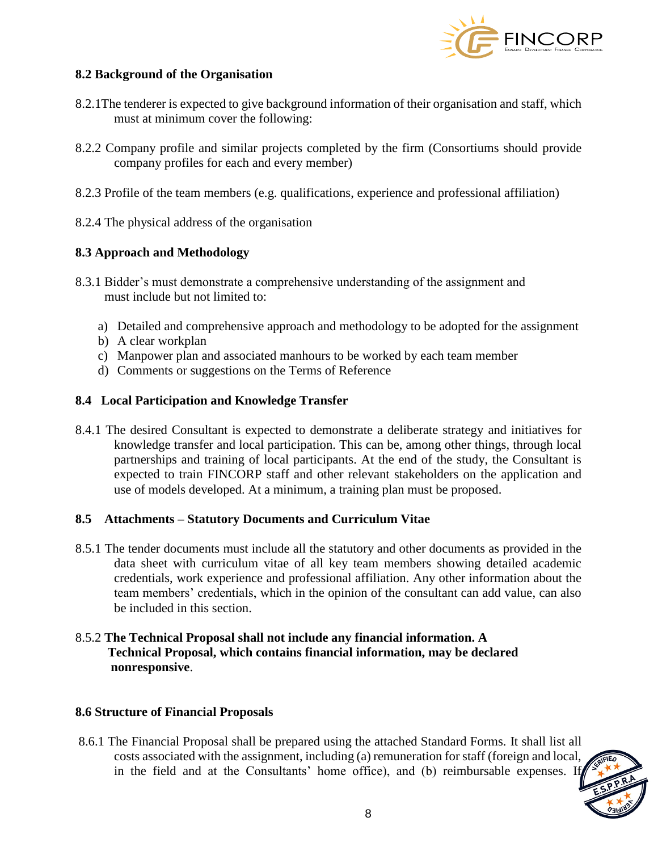

## **8.2 Background of the Organisation**

- 8.2.1The tenderer is expected to give background information of their organisation and staff, which must at minimum cover the following:
- 8.2.2 Company profile and similar projects completed by the firm (Consortiums should provide company profiles for each and every member)
- 8.2.3 Profile of the team members (e.g. qualifications, experience and professional affiliation)
- 8.2.4 The physical address of the organisation

# **8.3 Approach and Methodology**

- 8.3.1 Bidder's must demonstrate a comprehensive understanding of the assignment and must include but not limited to:
	- a) Detailed and comprehensive approach and methodology to be adopted for the assignment
	- b) A clear workplan
	- c) Manpower plan and associated manhours to be worked by each team member
	- d) Comments or suggestions on the Terms of Reference

# **8.4 Local Participation and Knowledge Transfer**

8.4.1 The desired Consultant is expected to demonstrate a deliberate strategy and initiatives for knowledge transfer and local participation. This can be, among other things, through local partnerships and training of local participants. At the end of the study, the Consultant is expected to train FINCORP staff and other relevant stakeholders on the application and use of models developed. At a minimum, a training plan must be proposed.

#### **8.5 Attachments – Statutory Documents and Curriculum Vitae**

8.5.1 The tender documents must include all the statutory and other documents as provided in the data sheet with curriculum vitae of all key team members showing detailed academic credentials, work experience and professional affiliation. Any other information about the team members' credentials, which in the opinion of the consultant can add value, can also be included in this section.

## 8.5.2 **The Technical Proposal shall not include any financial information. A Technical Proposal, which contains financial information, may be declared nonresponsive**.

# **8.6 Structure of Financial Proposals**

8.6.1 The Financial Proposal shall be prepared using the attached Standard Forms. It shall list all costs associated with the assignment, including (a) remuneration for staff (foreign and local, in the field and at the Consultants' home office), and (b) reimbursable expenses. If

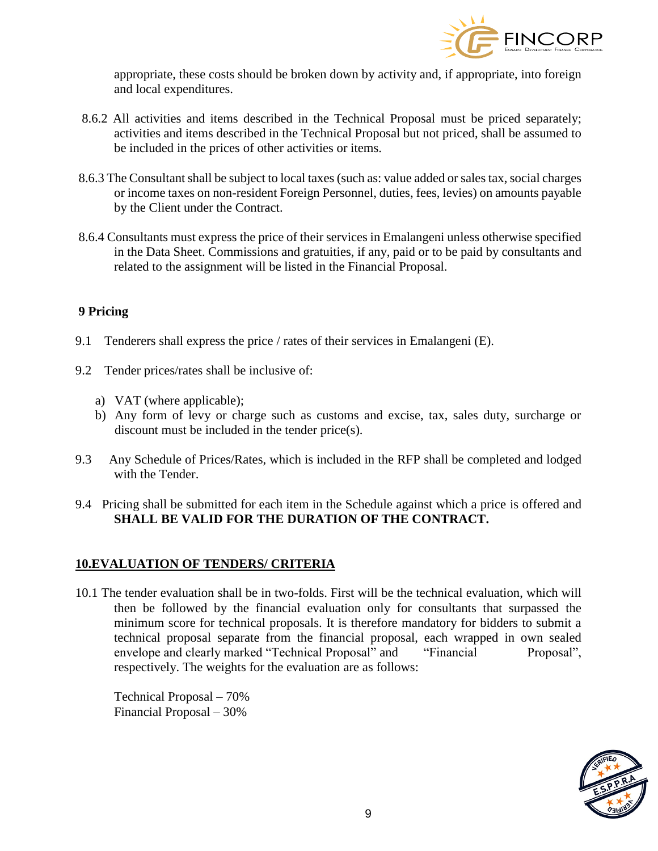

appropriate, these costs should be broken down by activity and, if appropriate, into foreign and local expenditures.

- 8.6.2 All activities and items described in the Technical Proposal must be priced separately; activities and items described in the Technical Proposal but not priced, shall be assumed to be included in the prices of other activities or items.
- 8.6.3 The Consultant shall be subject to local taxes (such as: value added or sales tax, social charges or income taxes on non-resident Foreign Personnel, duties, fees, levies) on amounts payable by the Client under the Contract.
- 8.6.4 Consultants must express the price of their services in Emalangeni unless otherwise specified in the Data Sheet. Commissions and gratuities, if any, paid or to be paid by consultants and related to the assignment will be listed in the Financial Proposal.

# **9 Pricing**

- 9.1 Tenderers shall express the price / rates of their services in Emalangeni (E).
- 9.2 Tender prices/rates shall be inclusive of:
	- a) VAT (where applicable);
	- b) Any form of levy or charge such as customs and excise, tax, sales duty, surcharge or discount must be included in the tender price(s).
- 9.3 Any Schedule of Prices/Rates, which is included in the RFP shall be completed and lodged with the Tender.
- 9.4 Pricing shall be submitted for each item in the Schedule against which a price is offered and **SHALL BE VALID FOR THE DURATION OF THE CONTRACT.**

# **10.EVALUATION OF TENDERS/ CRITERIA**

10.1 The tender evaluation shall be in two-folds. First will be the technical evaluation, which will then be followed by the financial evaluation only for consultants that surpassed the minimum score for technical proposals. It is therefore mandatory for bidders to submit a technical proposal separate from the financial proposal, each wrapped in own sealed envelope and clearly marked "Technical Proposal" and "Financial Proposal", respectively. The weights for the evaluation are as follows:

Technical Proposal – 70% Financial Proposal – 30%

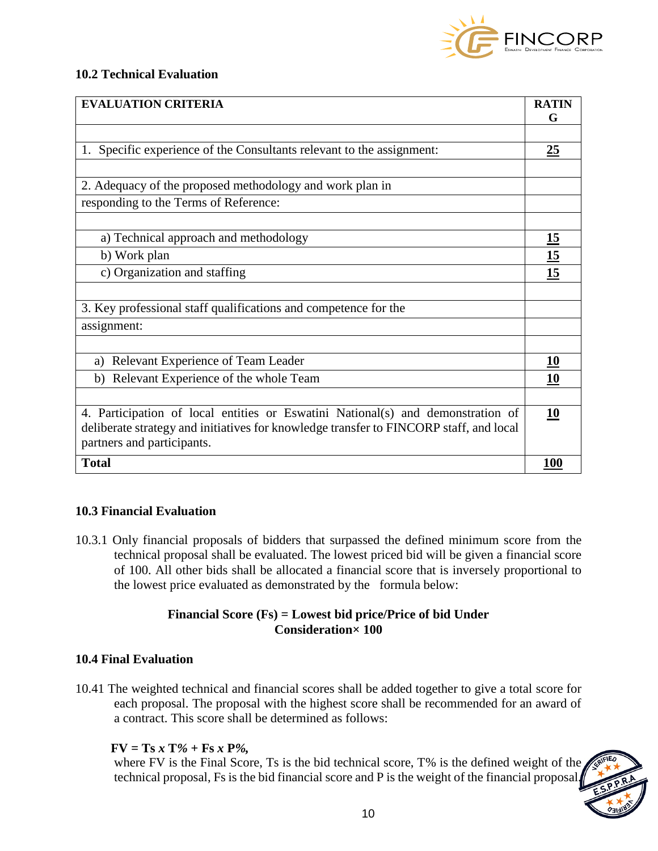

# **10.2 Technical Evaluation**

| <b>EVALUATION CRITERIA</b>                                                             | <b>RATIN</b><br>G |
|----------------------------------------------------------------------------------------|-------------------|
|                                                                                        |                   |
| Specific experience of the Consultants relevant to the assignment:                     | <u>25</u>         |
|                                                                                        |                   |
| 2. Adequacy of the proposed methodology and work plan in                               |                   |
| responding to the Terms of Reference:                                                  |                   |
|                                                                                        |                   |
| a) Technical approach and methodology                                                  | <u>15</u>         |
| b) Work plan                                                                           | $\frac{15}{15}$   |
| c) Organization and staffing                                                           |                   |
|                                                                                        |                   |
| 3. Key professional staff qualifications and competence for the                        |                   |
| assignment:                                                                            |                   |
|                                                                                        |                   |
| Relevant Experience of Team Leader<br>a)                                               | $\underline{10}$  |
| b) Relevant Experience of the whole Team                                               | <u>10</u>         |
|                                                                                        |                   |
| 4. Participation of local entities or Eswatini National(s) and demonstration of        | 10                |
| deliberate strategy and initiatives for knowledge transfer to FINCORP staff, and local |                   |
| partners and participants.                                                             |                   |
| <b>Total</b>                                                                           | <b>100</b>        |

# **10.3 Financial Evaluation**

10.3.1 Only financial proposals of bidders that surpassed the defined minimum score from the technical proposal shall be evaluated. The lowest priced bid will be given a financial score of 100. All other bids shall be allocated a financial score that is inversely proportional to the lowest price evaluated as demonstrated by the formula below:

# **Financial Score (Fs) = Lowest bid price/Price of bid Under Consideration× 100**

# **10.4 Final Evaluation**

10.41 The weighted technical and financial scores shall be added together to give a total score for each proposal. The proposal with the highest score shall be recommended for an award of a contract. This score shall be determined as follows:

# $\bf{F}V = \bf{T}s \times T\% + \bf{F}s \times P\%,$

where FV is the Final Score, Ts is the bid technical score, T% is the defined weight of the technical proposal, Fs is the bid financial score and P is the weight of the financial proposal.

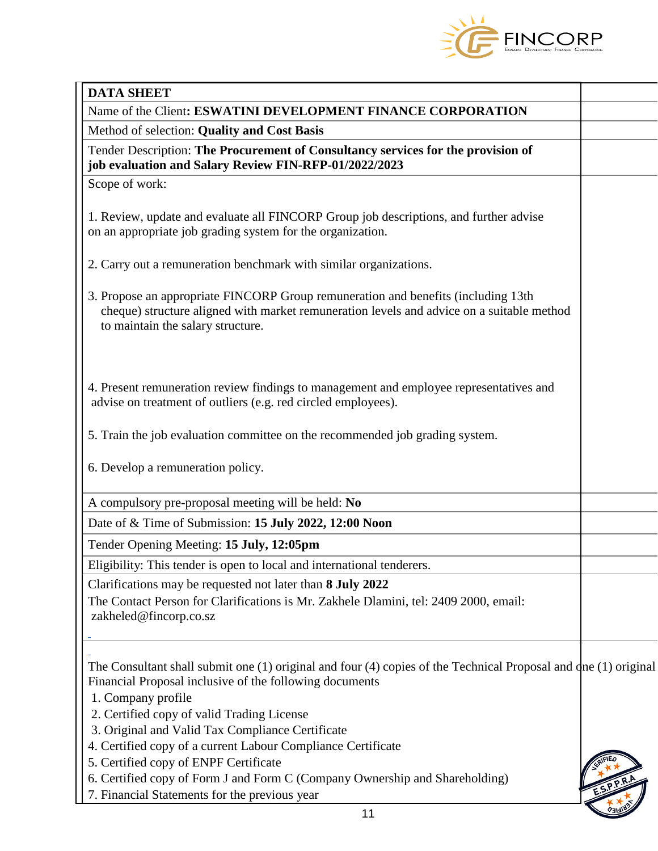

| Name of the Client: ESWATINI DEVELOPMENT FINANCE CORPORATION                                                                                                                                                                                   |
|------------------------------------------------------------------------------------------------------------------------------------------------------------------------------------------------------------------------------------------------|
| Method of selection: Quality and Cost Basis                                                                                                                                                                                                    |
| Tender Description: The Procurement of Consultancy services for the provision of<br>job evaluation and Salary Review FIN-RFP-01/2022/2023                                                                                                      |
| Scope of work:                                                                                                                                                                                                                                 |
| 1. Review, update and evaluate all FINCORP Group job descriptions, and further advise<br>on an appropriate job grading system for the organization.                                                                                            |
| 2. Carry out a remuneration benchmark with similar organizations.                                                                                                                                                                              |
| 3. Propose an appropriate FINCORP Group remuneration and benefits (including 13th<br>cheque) structure aligned with market remuneration levels and advice on a suitable method<br>to maintain the salary structure.                            |
| 4. Present remuneration review findings to management and employee representatives and<br>advise on treatment of outliers (e.g. red circled employees).                                                                                        |
| 5. Train the job evaluation committee on the recommended job grading system.                                                                                                                                                                   |
|                                                                                                                                                                                                                                                |
| 6. Develop a remuneration policy.                                                                                                                                                                                                              |
| A compulsory pre-proposal meeting will be held: No                                                                                                                                                                                             |
| Date of & Time of Submission: 15 July 2022, 12:00 Noon                                                                                                                                                                                         |
|                                                                                                                                                                                                                                                |
| Tender Opening Meeting: 15 July, 12:05pm                                                                                                                                                                                                       |
| Eligibility: This tender is open to local and international tenderers.                                                                                                                                                                         |
| Clarifications may be requested not later than 8 July 2022<br>The Contact Person for Clarifications is Mr. Zakhele Dlamini, tel: 2409 2000, email:<br>zakheled@fincorp.co.sz                                                                   |
| The Consultant shall submit one (1) original and four (4) copies of the Technical Proposal and dne (1) original<br>Financial Proposal inclusive of the following documents<br>1. Company profile<br>2. Certified copy of valid Trading License |
| 3. Original and Valid Tax Compliance Certificate                                                                                                                                                                                               |
| 4. Certified copy of a current Labour Compliance Certificate                                                                                                                                                                                   |
| 5. Certified copy of ENPF Certificate<br>6. Certified copy of Form J and Form C (Company Ownership and Shareholding)                                                                                                                           |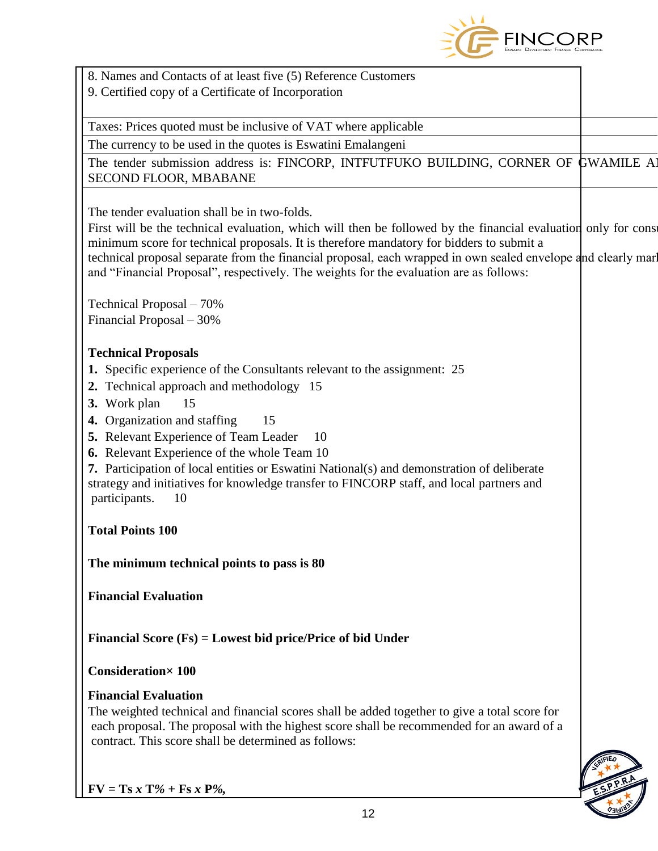

| 8. Names and Contacts of at least five (5) Reference Customers                                                                                                                                            |  |
|-----------------------------------------------------------------------------------------------------------------------------------------------------------------------------------------------------------|--|
| 9. Certified copy of a Certificate of Incorporation                                                                                                                                                       |  |
| Taxes: Prices quoted must be inclusive of VAT where applicable                                                                                                                                            |  |
| The currency to be used in the quotes is Eswatini Emalangeni                                                                                                                                              |  |
| The tender submission address is: FINCORP, INTFUTFUKO BUILDING, CORNER OF GWAMILE Al                                                                                                                      |  |
| SECOND FLOOR, MBABANE                                                                                                                                                                                     |  |
|                                                                                                                                                                                                           |  |
| The tender evaluation shall be in two-folds.                                                                                                                                                              |  |
| First will be the technical evaluation, which will then be followed by the financial evaluation only for conser                                                                                           |  |
| minimum score for technical proposals. It is therefore mandatory for bidders to submit a<br>technical proposal separate from the financial proposal, each wrapped in own sealed envelope and clearly marl |  |
| and "Financial Proposal", respectively. The weights for the evaluation are as follows:                                                                                                                    |  |
|                                                                                                                                                                                                           |  |
| Technical Proposal - 70%                                                                                                                                                                                  |  |
| Financial Proposal - 30%                                                                                                                                                                                  |  |
| <b>Technical Proposals</b>                                                                                                                                                                                |  |
| 1. Specific experience of the Consultants relevant to the assignment: 25                                                                                                                                  |  |
| 2. Technical approach and methodology 15                                                                                                                                                                  |  |
| 3. Work plan<br>15                                                                                                                                                                                        |  |
| 4. Organization and staffing<br>15                                                                                                                                                                        |  |
| 5. Relevant Experience of Team Leader<br>-10                                                                                                                                                              |  |
| 6. Relevant Experience of the whole Team 10                                                                                                                                                               |  |
| 7. Participation of local entities or Eswatini National(s) and demonstration of deliberate<br>strategy and initiatives for knowledge transfer to FINCORP staff, and local partners and                    |  |
| participants.<br>10                                                                                                                                                                                       |  |
|                                                                                                                                                                                                           |  |
| <b>Total Points 100</b>                                                                                                                                                                                   |  |
| The minimum technical points to pass is 80                                                                                                                                                                |  |
|                                                                                                                                                                                                           |  |
| <b>Financial Evaluation</b>                                                                                                                                                                               |  |
|                                                                                                                                                                                                           |  |
| Financial Score $(Fs) = Lowest bid price/Price of bid Under$                                                                                                                                              |  |
|                                                                                                                                                                                                           |  |
| <b>Consideration</b> ×100                                                                                                                                                                                 |  |
| <b>Financial Evaluation</b>                                                                                                                                                                               |  |
| The weighted technical and financial scores shall be added together to give a total score for                                                                                                             |  |
| each proposal. The proposal with the highest score shall be recommended for an award of a                                                                                                                 |  |
| contract. This score shall be determined as follows:                                                                                                                                                      |  |
|                                                                                                                                                                                                           |  |
| $FV = Ts x T\% + Fs x P\%,$                                                                                                                                                                               |  |
| 12                                                                                                                                                                                                        |  |
|                                                                                                                                                                                                           |  |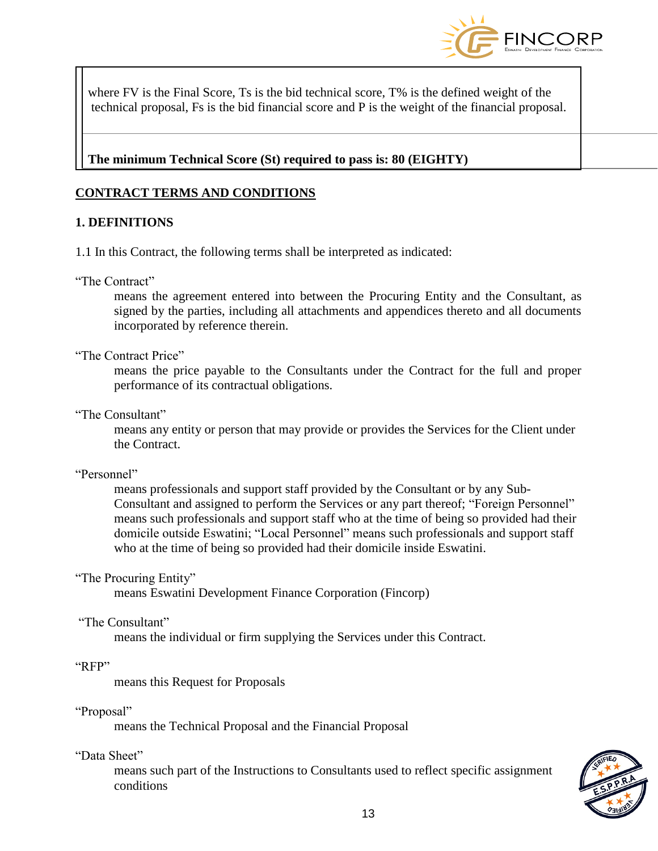

where FV is the Final Score, Ts is the bid technical score, T% is the defined weight of the technical proposal, Fs is the bid financial score and P is the weight of the financial proposal.

# **The minimum Technical Score (St) required to pass is: 80 (EIGHTY)**

## **CONTRACT TERMS AND CONDITIONS**

## **1. DEFINITIONS**

1.1 In this Contract, the following terms shall be interpreted as indicated:

"The Contract"

means the agreement entered into between the Procuring Entity and the Consultant, as signed by the parties, including all attachments and appendices thereto and all documents incorporated by reference therein.

"The Contract Price"

means the price payable to the Consultants under the Contract for the full and proper performance of its contractual obligations.

"The Consultant"

means any entity or person that may provide or provides the Services for the Client under the Contract.

"Personnel"

means professionals and support staff provided by the Consultant or by any Sub-Consultant and assigned to perform the Services or any part thereof; "Foreign Personnel" means such professionals and support staff who at the time of being so provided had their domicile outside Eswatini; "Local Personnel" means such professionals and support staff who at the time of being so provided had their domicile inside Eswatini.

"The Procuring Entity"

means Eswatini Development Finance Corporation (Fincorp)

"The Consultant"

means the individual or firm supplying the Services under this Contract.

#### "RFP"

means this Request for Proposals

#### "Proposal"

means the Technical Proposal and the Financial Proposal

#### "Data Sheet"

means such part of the Instructions to Consultants used to reflect specific assignment conditions

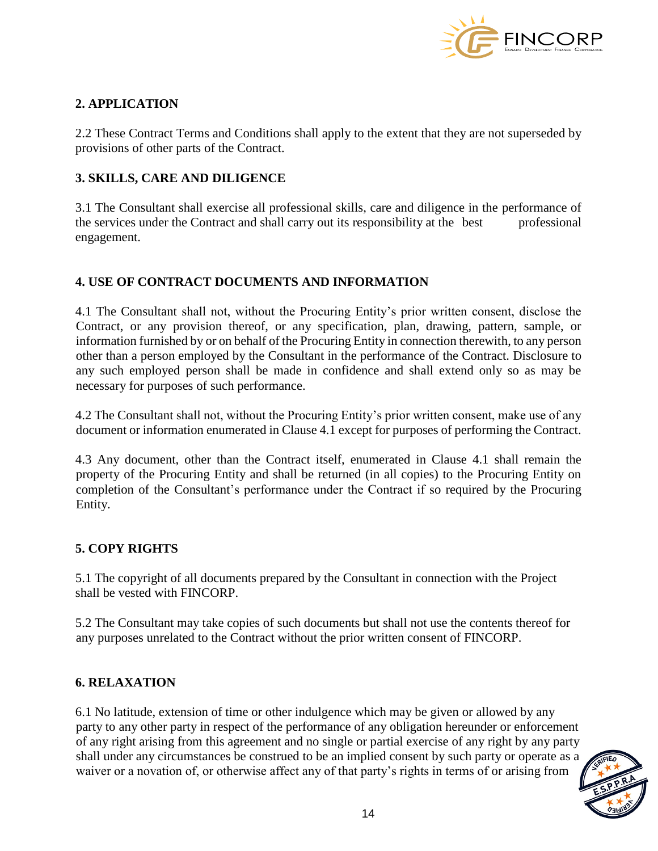

# **2. APPLICATION**

2.2 These Contract Terms and Conditions shall apply to the extent that they are not superseded by provisions of other parts of the Contract.

# **3. SKILLS, CARE AND DILIGENCE**

3.1 The Consultant shall exercise all professional skills, care and diligence in the performance of the services under the Contract and shall carry out its responsibility at the best professional engagement.

# **4. USE OF CONTRACT DOCUMENTS AND INFORMATION**

4.1 The Consultant shall not, without the Procuring Entity's prior written consent, disclose the Contract, or any provision thereof, or any specification, plan, drawing, pattern, sample, or information furnished by or on behalf of the Procuring Entity in connection therewith, to any person other than a person employed by the Consultant in the performance of the Contract. Disclosure to any such employed person shall be made in confidence and shall extend only so as may be necessary for purposes of such performance.

4.2 The Consultant shall not, without the Procuring Entity's prior written consent, make use of any document or information enumerated in Clause 4.1 except for purposes of performing the Contract.

4.3 Any document, other than the Contract itself, enumerated in Clause 4.1 shall remain the property of the Procuring Entity and shall be returned (in all copies) to the Procuring Entity on completion of the Consultant's performance under the Contract if so required by the Procuring Entity.

# **5. COPY RIGHTS**

5.1 The copyright of all documents prepared by the Consultant in connection with the Project shall be vested with FINCORP.

5.2 The Consultant may take copies of such documents but shall not use the contents thereof for any purposes unrelated to the Contract without the prior written consent of FINCORP.

# **6. RELAXATION**

6.1 No latitude, extension of time or other indulgence which may be given or allowed by any party to any other party in respect of the performance of any obligation hereunder or enforcement of any right arising from this agreement and no single or partial exercise of any right by any party shall under any circumstances be construed to be an implied consent by such party or operate as a waiver or a novation of, or otherwise affect any of that party's rights in terms of or arising from

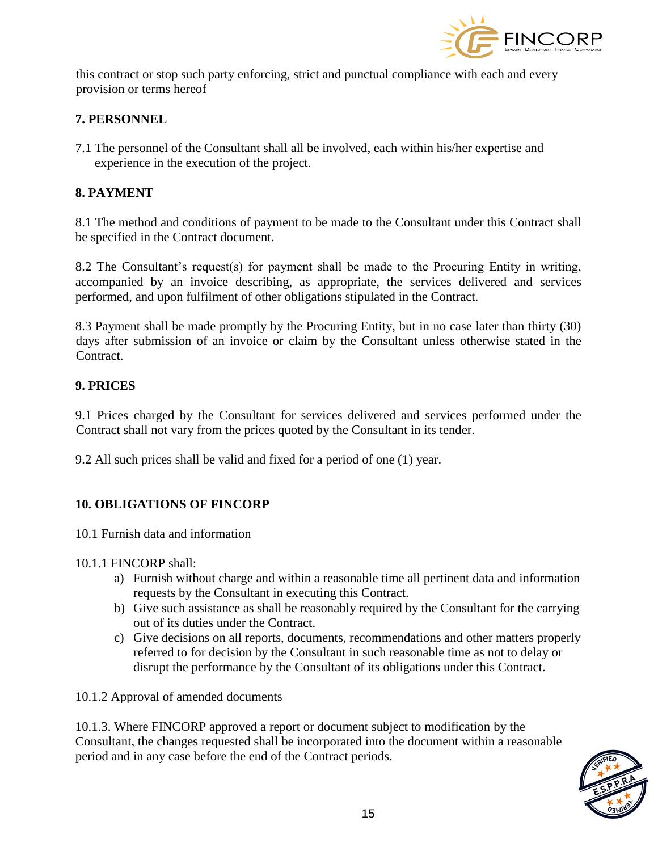

this contract or stop such party enforcing, strict and punctual compliance with each and every provision or terms hereof

# **7. PERSONNEL**

7.1 The personnel of the Consultant shall all be involved, each within his/her expertise and experience in the execution of the project.

# **8. PAYMENT**

8.1 The method and conditions of payment to be made to the Consultant under this Contract shall be specified in the Contract document.

8.2 The Consultant's request(s) for payment shall be made to the Procuring Entity in writing, accompanied by an invoice describing, as appropriate, the services delivered and services performed, and upon fulfilment of other obligations stipulated in the Contract.

8.3 Payment shall be made promptly by the Procuring Entity, but in no case later than thirty (30) days after submission of an invoice or claim by the Consultant unless otherwise stated in the Contract.

# **9. PRICES**

9.1 Prices charged by the Consultant for services delivered and services performed under the Contract shall not vary from the prices quoted by the Consultant in its tender.

9.2 All such prices shall be valid and fixed for a period of one (1) year.

# **10. OBLIGATIONS OF FINCORP**

10.1 Furnish data and information

- 10.1.1 FINCORP shall:
	- a) Furnish without charge and within a reasonable time all pertinent data and information requests by the Consultant in executing this Contract.
	- b) Give such assistance as shall be reasonably required by the Consultant for the carrying out of its duties under the Contract.
	- c) Give decisions on all reports, documents, recommendations and other matters properly referred to for decision by the Consultant in such reasonable time as not to delay or disrupt the performance by the Consultant of its obligations under this Contract.

10.1.2 Approval of amended documents

10.1.3. Where FINCORP approved a report or document subject to modification by the Consultant, the changes requested shall be incorporated into the document within a reasonable period and in any case before the end of the Contract periods.

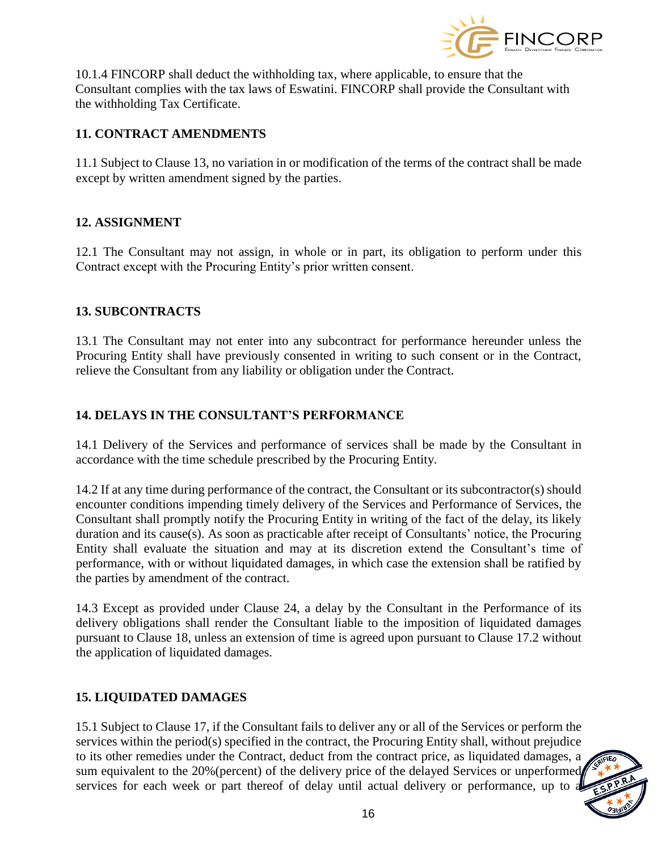

10.1.4 FINCORP shall deduct the withholding tax, where applicable, to ensure that the Consultant complies with the tax laws of Eswatini. FINCORP shall provide the Consultant with the withholding Tax Certificate.

# **11. CONTRACT AMENDMENTS**

11.1 Subject to Clause 13, no variation in or modification of the terms of the contract shall be made except by written amendment signed by the parties.

# **12. ASSIGNMENT**

12.1 The Consultant may not assign, in whole or in part, its obligation to perform under this Contract except with the Procuring Entity's prior written consent.

# **13. SUBCONTRACTS**

13.1 The Consultant may not enter into any subcontract for performance hereunder unless the Procuring Entity shall have previously consented in writing to such consent or in the Contract, relieve the Consultant from any liability or obligation under the Contract.

# **14. DELAYS IN THE CONSULTANT'S PERFORMANCE**

14.1 Delivery of the Services and performance of services shall be made by the Consultant in accordance with the time schedule prescribed by the Procuring Entity.

14.2 If at any time during performance of the contract, the Consultant or its subcontractor(s) should encounter conditions impending timely delivery of the Services and Performance of Services, the Consultant shall promptly notify the Procuring Entity in writing of the fact of the delay, its likely duration and its cause(s). As soon as practicable after receipt of Consultants' notice, the Procuring Entity shall evaluate the situation and may at its discretion extend the Consultant's time of performance, with or without liquidated damages, in which case the extension shall be ratified by the parties by amendment of the contract.

14.3 Except as provided under Clause 24, a delay by the Consultant in the Performance of its delivery obligations shall render the Consultant liable to the imposition of liquidated damages pursuant to Clause 18, unless an extension of time is agreed upon pursuant to Clause 17.2 without the application of liquidated damages.

# **15. LIQUIDATED DAMAGES**

15.1 Subject to Clause 17, if the Consultant fails to deliver any or all of the Services or perform the services within the period(s) specified in the contract, the Procuring Entity shall, without prejudice to its other remedies under the Contract, deduct from the contract price, as liquidated damages, a sum equivalent to the 20%(percent) of the delivery price of the delayed Services or unperformed services for each week or part thereof of delay until actual delivery or performance, up to a

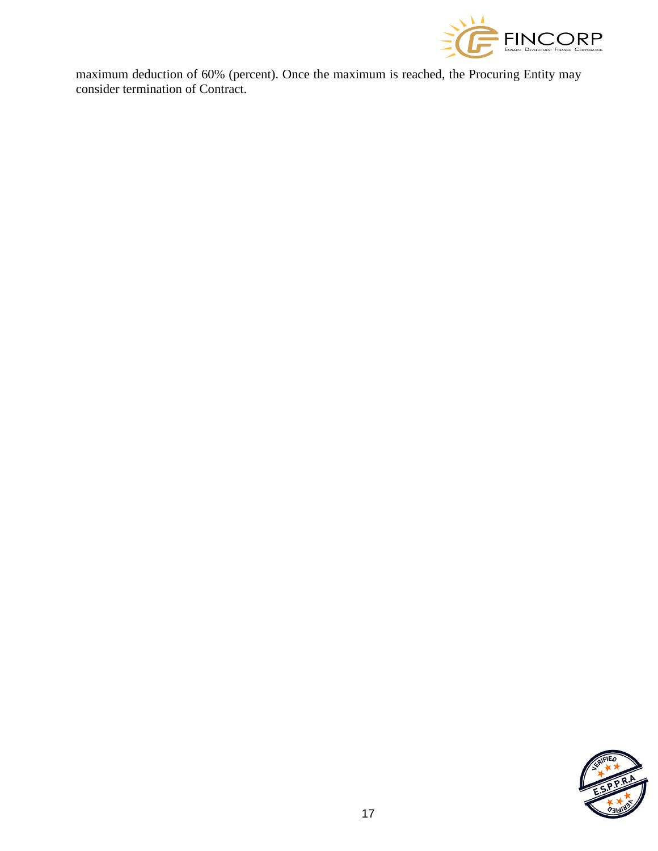

maximum deduction of 60% (percent). Once the maximum is reached, the Procuring Entity may consider termination of Contract.

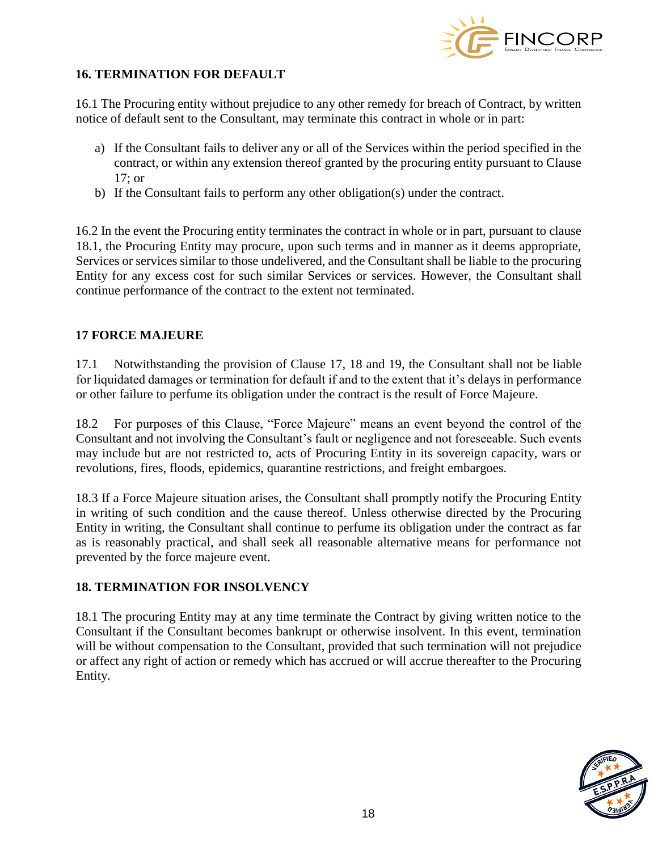

## **16. TERMINATION FOR DEFAULT**

16.1 The Procuring entity without prejudice to any other remedy for breach of Contract, by written notice of default sent to the Consultant, may terminate this contract in whole or in part:

- a) If the Consultant fails to deliver any or all of the Services within the period specified in the contract, or within any extension thereof granted by the procuring entity pursuant to Clause 17; or
- b) If the Consultant fails to perform any other obligation(s) under the contract.

16.2 In the event the Procuring entity terminates the contract in whole or in part, pursuant to clause 18.1, the Procuring Entity may procure, upon such terms and in manner as it deems appropriate, Services or services similar to those undelivered, and the Consultant shall be liable to the procuring Entity for any excess cost for such similar Services or services. However, the Consultant shall continue performance of the contract to the extent not terminated.

## **17 FORCE MAJEURE**

17.1 Notwithstanding the provision of Clause 17, 18 and 19, the Consultant shall not be liable for liquidated damages or termination for default if and to the extent that it's delays in performance or other failure to perfume its obligation under the contract is the result of Force Majeure.

18.2 For purposes of this Clause, "Force Majeure" means an event beyond the control of the Consultant and not involving the Consultant's fault or negligence and not foreseeable. Such events may include but are not restricted to, acts of Procuring Entity in its sovereign capacity, wars or revolutions, fires, floods, epidemics, quarantine restrictions, and freight embargoes.

18.3 If a Force Majeure situation arises, the Consultant shall promptly notify the Procuring Entity in writing of such condition and the cause thereof. Unless otherwise directed by the Procuring Entity in writing, the Consultant shall continue to perfume its obligation under the contract as far as is reasonably practical, and shall seek all reasonable alternative means for performance not prevented by the force majeure event.

#### **18. TERMINATION FOR INSOLVENCY**

18.1 The procuring Entity may at any time terminate the Contract by giving written notice to the Consultant if the Consultant becomes bankrupt or otherwise insolvent. In this event, termination will be without compensation to the Consultant, provided that such termination will not prejudice or affect any right of action or remedy which has accrued or will accrue thereafter to the Procuring Entity.

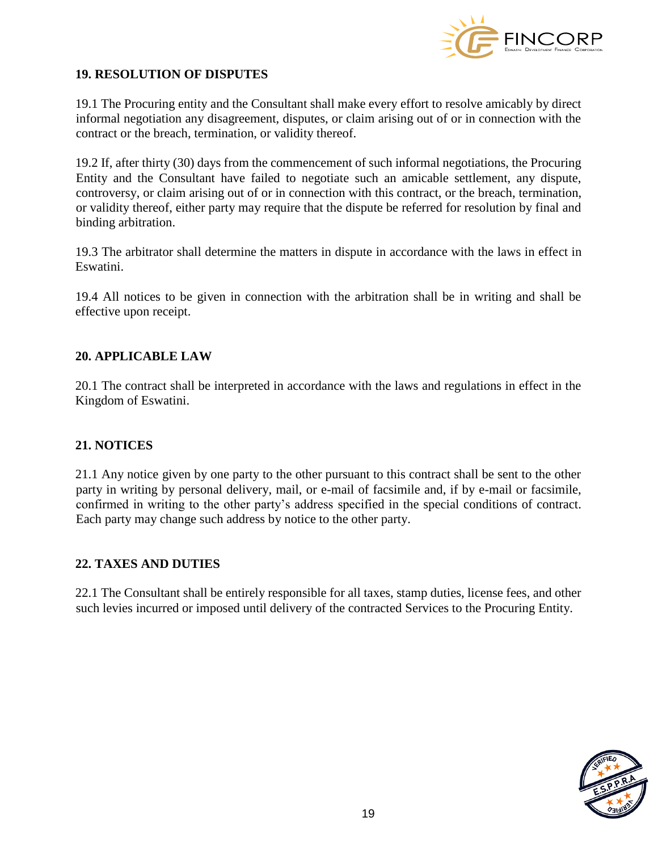

## **19. RESOLUTION OF DISPUTES**

19.1 The Procuring entity and the Consultant shall make every effort to resolve amicably by direct informal negotiation any disagreement, disputes, or claim arising out of or in connection with the contract or the breach, termination, or validity thereof.

19.2 If, after thirty (30) days from the commencement of such informal negotiations, the Procuring Entity and the Consultant have failed to negotiate such an amicable settlement, any dispute, controversy, or claim arising out of or in connection with this contract, or the breach, termination, or validity thereof, either party may require that the dispute be referred for resolution by final and binding arbitration.

19.3 The arbitrator shall determine the matters in dispute in accordance with the laws in effect in Eswatini.

19.4 All notices to be given in connection with the arbitration shall be in writing and shall be effective upon receipt.

## **20. APPLICABLE LAW**

20.1 The contract shall be interpreted in accordance with the laws and regulations in effect in the Kingdom of Eswatini.

# **21. NOTICES**

21.1 Any notice given by one party to the other pursuant to this contract shall be sent to the other party in writing by personal delivery, mail, or e-mail of facsimile and, if by e-mail or facsimile, confirmed in writing to the other party's address specified in the special conditions of contract. Each party may change such address by notice to the other party.

#### **22. TAXES AND DUTIES**

22.1 The Consultant shall be entirely responsible for all taxes, stamp duties, license fees, and other such levies incurred or imposed until delivery of the contracted Services to the Procuring Entity.

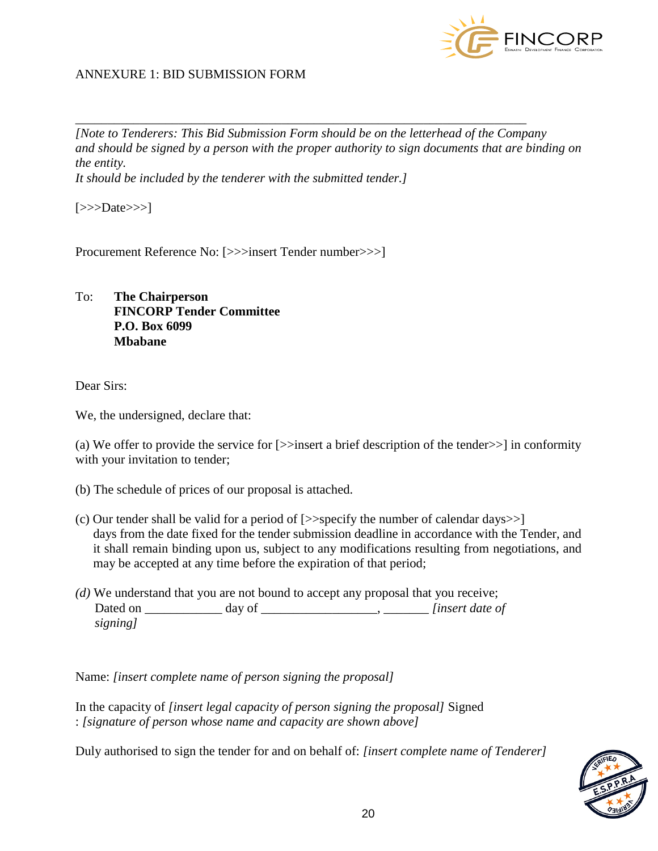

## ANNEXURE 1: BID SUBMISSION FORM

\_\_\_\_\_\_\_\_\_\_\_\_\_\_\_\_\_\_\_\_\_\_\_\_\_\_\_\_\_\_\_\_\_\_\_\_\_\_\_\_\_\_\_\_\_\_\_\_\_\_\_\_\_\_\_\_\_\_\_\_\_\_\_\_\_\_\_\_\_\_ *[Note to Tenderers: This Bid Submission Form should be on the letterhead of the Company and should be signed by a person with the proper authority to sign documents that are binding on the entity.* 

*It should be included by the tenderer with the submitted tender.]* 

 $[\gg>Date>>]$ 

Procurement Reference No: [>>>insert Tender number>>>]

To: **The Chairperson FINCORP Tender Committee P.O. Box 6099 Mbabane**

Dear Sirs:

We, the undersigned, declare that:

(a) We offer to provide the service for [>>insert a brief description of the tender>>] in conformity with your invitation to tender;

- (b) The schedule of prices of our proposal is attached.
- (c) Our tender shall be valid for a period of [>>specify the number of calendar days>>] days from the date fixed for the tender submission deadline in accordance with the Tender, and it shall remain binding upon us, subject to any modifications resulting from negotiations, and may be accepted at any time before the expiration of that period;
- *(d)* We understand that you are not bound to accept any proposal that you receive; Dated on day of *day* of *linsert date of signing]*

Name: *[insert complete name of person signing the proposal]* 

In the capacity of *[insert legal capacity of person signing the proposal]* Signed : *[signature of person whose name and capacity are shown above]* 

Duly authorised to sign the tender for and on behalf of: *[insert complete name of Tenderer]*